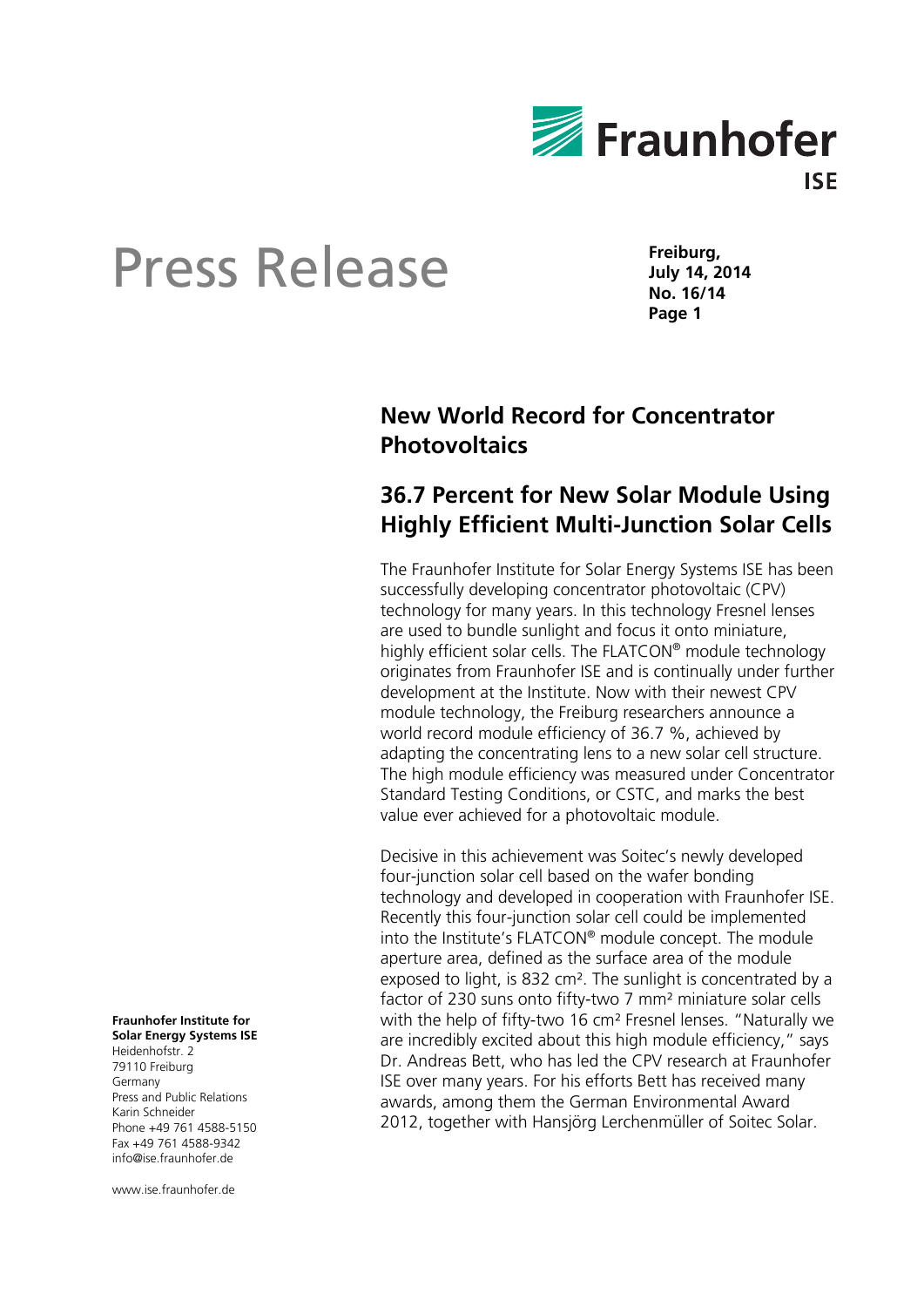

# Press Release

**Freiburg, July 14, 2014 No. 16/14 Page 1** 

## **New World Record for Concentrator Photovoltaics**

### **36.7 Percent for New Solar Module Using Highly Efficient Multi-Junction Solar Cells**

The Fraunhofer Institute for Solar Energy Systems ISE has been successfully developing concentrator photovoltaic (CPV) technology for many years. In this technology Fresnel lenses are used to bundle sunlight and focus it onto miniature, highly efficient solar cells. The FLATCON® module technology originates from Fraunhofer ISE and is continually under further development at the Institute. Now with their newest CPV module technology, the Freiburg researchers announce a world record module efficiency of 36.7 %, achieved by adapting the concentrating lens to a new solar cell structure. The high module efficiency was measured under Concentrator Standard Testing Conditions, or CSTC, and marks the best value ever achieved for a photovoltaic module.

Decisive in this achievement was Soitec's newly developed four-junction solar cell based on the wafer bonding technology and developed in cooperation with Fraunhofer ISE. Recently this four-junction solar cell could be implemented into the Institute's FLATCON® module concept. The module aperture area, defined as the surface area of the module exposed to light, is 832 cm². The sunlight is concentrated by a factor of 230 suns onto fifty-two 7 mm² miniature solar cells with the help of fifty-two 16 cm² Fresnel lenses. "Naturally we are incredibly excited about this high module efficiency," says Dr. Andreas Bett, who has led the CPV research at Fraunhofer ISE over many years. For his efforts Bett has received many awards, among them the German Environmental Award 2012, together with Hansjörg Lerchenmüller of Soitec Solar.

**Fraunhofer Institute for Solar Energy Systems ISE** 

Heidenhofstr. 2 79110 Freiburg Germany Press and Public Relations Karin Schneider Phone +49 761 4588-5150 Fax +49 761 4588-9342 info@ise.fraunhofer.de

www.ise.fraunhofer.de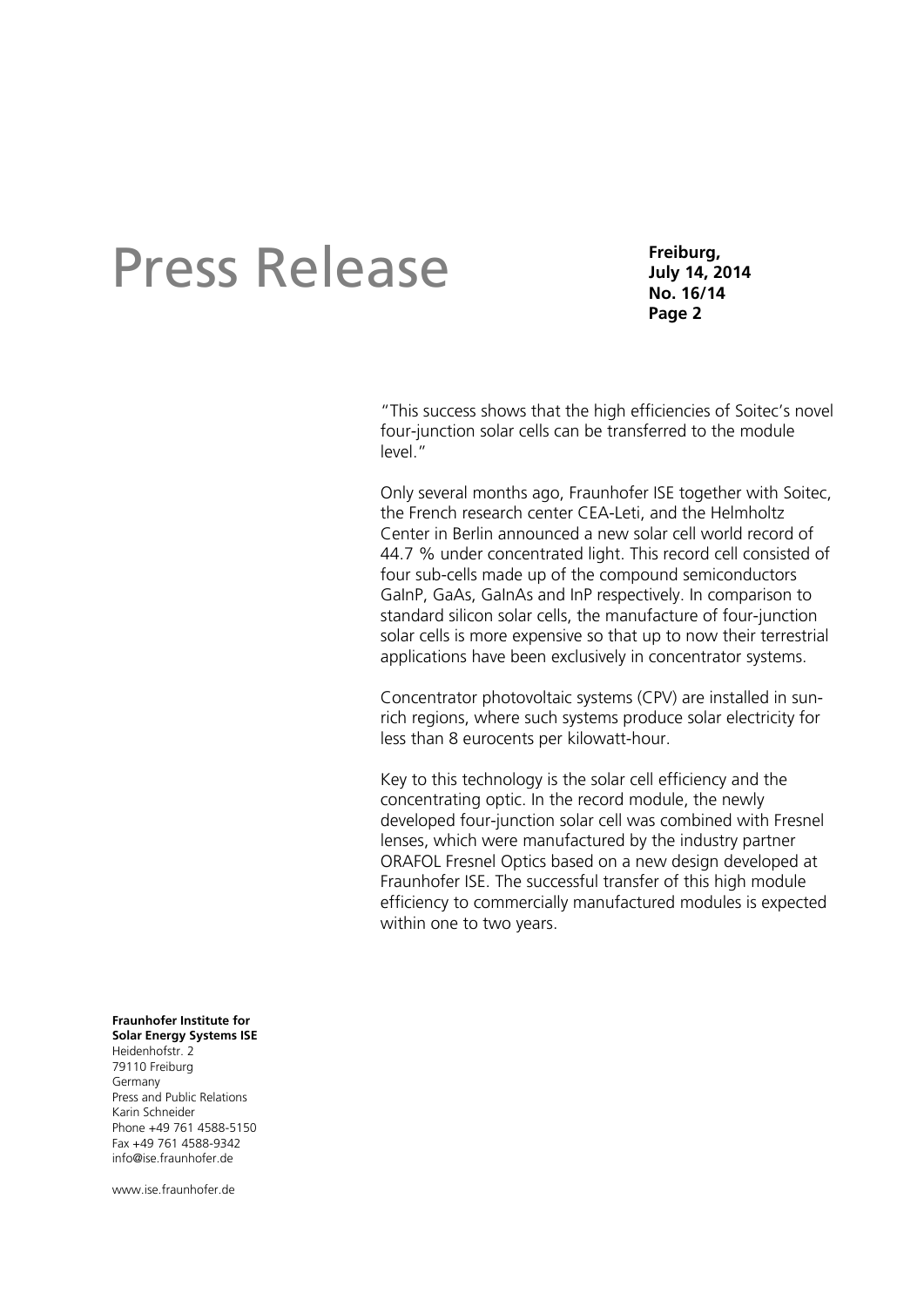# Press Release

**Freiburg, July 14, 2014 No. 16/14 Page 2** 

"This success shows that the high efficiencies of Soitec's novel four-junction solar cells can be transferred to the module level."

Only several months ago, Fraunhofer ISE together with Soitec, the French research center CEA-Leti, and the Helmholtz Center in Berlin announced a new solar cell world record of 44.7 % under concentrated light. This record cell consisted of four sub-cells made up of the compound semiconductors GaInP, GaAs, GaInAs and InP respectively. In comparison to standard silicon solar cells, the manufacture of four-junction solar cells is more expensive so that up to now their terrestrial applications have been exclusively in concentrator systems.

Concentrator photovoltaic systems (CPV) are installed in sunrich regions, where such systems produce solar electricity for less than 8 eurocents per kilowatt-hour.

Key to this technology is the solar cell efficiency and the concentrating optic. In the record module, the newly developed four-junction solar cell was combined with Fresnel lenses, which were manufactured by the industry partner ORAFOL Fresnel Optics based on a new design developed at Fraunhofer ISE. The successful transfer of this high module efficiency to commercially manufactured modules is expected within one to two years.

#### **Fraunhofer Institute for Solar Energy Systems ISE**

Heidenhofstr. 2 79110 Freiburg Germany Press and Public Relations Karin Schneider Phone +49 761 4588-5150 Fax +49 761 4588-9342 info@ise.fraunhofer.de

www.ise.fraunhofer.de